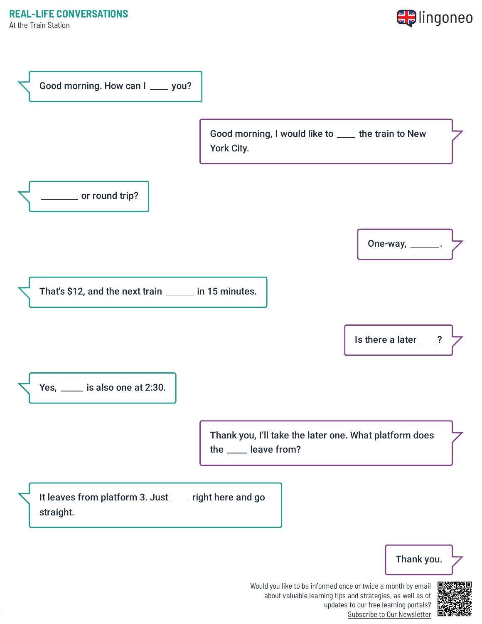



Would you like to be informed once or twice a month by email about valuable learning tips and strategies, as well as of updates to our free learning portals? Subscribe to Our [Newsletter](https://www.lingoneo.org/learn-english?channel=emailcampaignnewsletter&tcontent=so-m-27&tsource=srt_source)